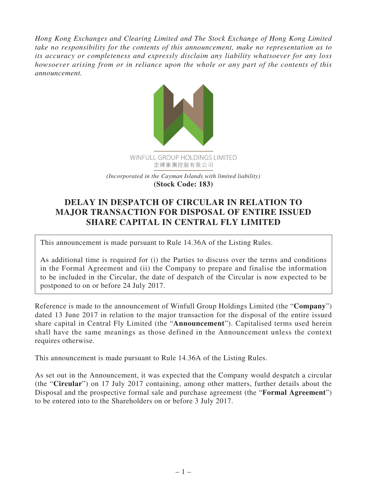*Hong Kong Exchanges and Clearing Limited and The Stock Exchange of Hong Kong Limited take no responsibility for the contents of this announcement, make no representation as to its accuracy or completeness and expressly disclaim any liability whatsoever for any loss howsoever arising from or in reliance upon the whole or any part of the contents of this announcement.*



## **DELAY IN DESPATCH OF CIRCULAR IN RELATION TO MAJOR TRANSACTION FOR DISPOSAL OF ENTIRE ISSUED SHARE CAPITAL IN CENTRAL FLY LIMITED**

This announcement is made pursuant to Rule 14.36A of the Listing Rules.

As additional time is required for (i) the Parties to discuss over the terms and conditions in the Formal Agreement and (ii) the Company to prepare and finalise the information to be included in the Circular, the date of despatch of the Circular is now expected to be postponed to on or before 24 July 2017.

Reference is made to the announcement of Winfull Group Holdings Limited (the "**Company**") dated 13 June 2017 in relation to the major transaction for the disposal of the entire issued share capital in Central Fly Limited (the "**Announcement**"). Capitalised terms used herein shall have the same meanings as those defined in the Announcement unless the context requires otherwise.

This announcement is made pursuant to Rule 14.36A of the Listing Rules.

As set out in the Announcement, it was expected that the Company would despatch a circular (the "**Circular**") on 17 July 2017 containing, among other matters, further details about the Disposal and the prospective formal sale and purchase agreement (the "**Formal Agreement**") to be entered into to the Shareholders on or before 3 July 2017.